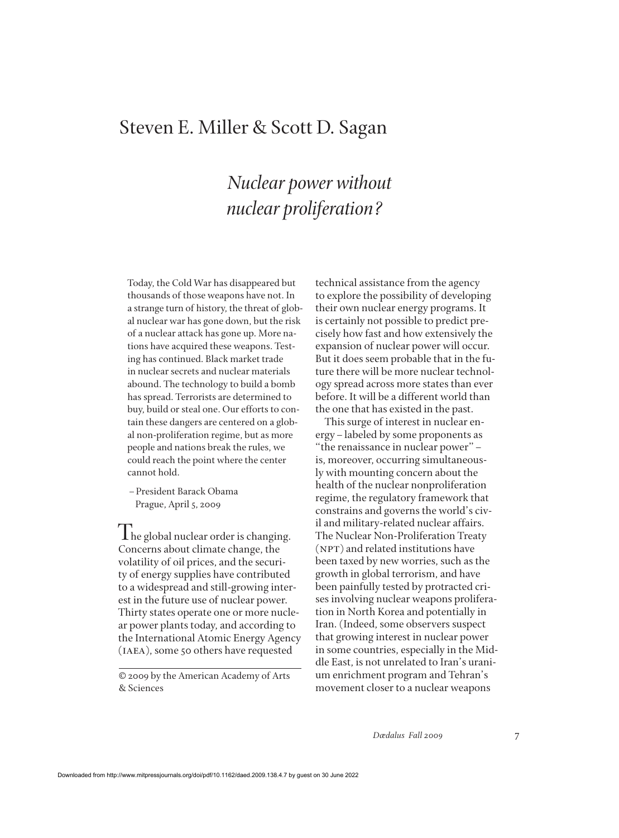## Steven E. Miller & Scott D. Sagan

# *Nuclear power without nuclear proliferation?*

Today, the Cold War has disappeared but thousands of those weapons have not. In a strange turn of history, the threat of global nuclear war has gone down, but the risk of a nuclear attack has gone up. More nations have acquired these weapons. Testing has continued. Black market trade in nuclear secrets and nuclear materials abound. The technology to build a bomb has spread. Terrorists are determined to buy, build or steal one. Our efforts to contain these dangers are centered on a global non-proliferation regime, but as more people and nations break the rules, we could reach the point where the center cannot hold.

–President Barack Obama Prague, April 5, 2009

I he global nuclear order is changing. Concerns about climate change, the volatility of oil prices, and the security of energy supplies have contributed to a widespread and still-growing interest in the future use of nuclear power. Thirty states operate one or more nuclear power plants today, and according to the International Atomic Energy Agency (iaea), some 50 others have requested

© 2009 by the American Academy of Arts & Sciences

technical assistance from the agency to explore the possibility of developing their own nuclear energy programs. It is certainly not possible to predict precisely how fast and how extensively the expansion of nuclear power will occur. But it does seem probable that in the future there will be more nuclear technology spread across more states than ever before. It will be a different world than the one that has existed in the past.

This surge of interest in nuclear energy–labeled by some proponents as "the renaissance in nuclear power"– is, moreover, occurring simultaneously with mounting concern about the health of the nuclear nonproliferation regime, the regulatory framework that constrains and governs the world's civil and military-related nuclear affairs. The Nuclear Non-Proliferation Treaty (NPT) and related institutions have been taxed by new worries, such as the growth in global terrorism, and have been painfully tested by protracted crises involving nuclear weapons proliferation in North Korea and potentially in Iran. (Indeed, some observers suspect that growing interest in nuclear power in some countries, especially in the Middle East, is not unrelated to Iran's uranium enrichment program and Tehran's movement closer to a nuclear weapons

*Dædalus Fall 2009* 7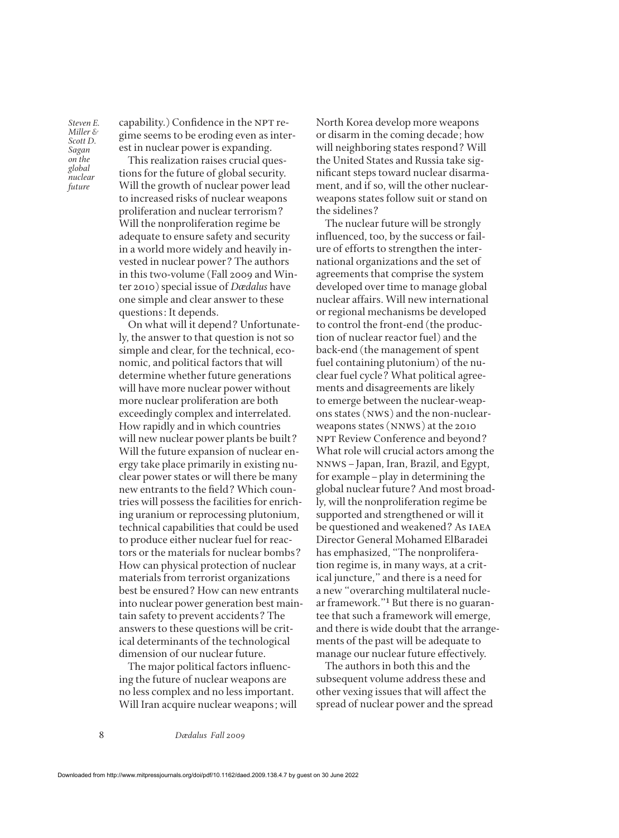capability.) Confidence in the NPT regime seems to be eroding even as interest in nuclear power is expanding.

This realization raises crucial questions for the future of global security. Will the growth of nuclear power lead to increased risks of nuclear weapons proliferation and nuclear terrorism? Will the nonproliferation regime be adequate to ensure safety and security in a world more widely and heavily invested in nuclear power? The authors in this two-volume (Fall 2009 and Winter 2010) special issue of *Dædalus* have one simple and clear answer to these questions: It depends.

On what will it depend? Unfortunately, the answer to that question is not so simple and clear, for the technical, economic, and political factors that will determine whether future generations will have more nuclear power without more nuclear proliferation are both exceedingly complex and interrelated. How rapidly and in which countries will new nuclear power plants be built? Will the future expansion of nuclear energy take place primarily in existing nuclear power states or will there be many new entrants to the field? Which countries will possess the facilities for enriching uranium or reprocessing plutonium, technical capabilities that could be used to produce either nuclear fuel for reactors or the materials for nuclear bombs? How can physical protection of nuclear materials from terrorist organizations best be ensured? How can new entrants into nuclear power generation best maintain safety to prevent accidents? The answers to these questions will be critical determinants of the technological dimension of our nuclear future.

The major political factors influencing the future of nuclear weapons are no less complex and no less important. Will Iran acquire nuclear weapons; will North Korea develop more weapons or disarm in the coming decade; how will neighboring states respond? Will the United States and Russia take significant steps toward nuclear disarmament, and if so, will the other nuclearweapons states follow suit or stand on the sidelines?

The nuclear future will be strongly influenced, too, by the success or failure of efforts to strengthen the international organizations and the set of agreements that comprise the system developed over time to manage global nuclear affairs. Will new international or regional mechanisms be developed to control the front-end (the production of nuclear reactor fuel) and the back-end (the management of spent fuel containing plutonium) of the nuclear fuel cycle? What political agreements and disagreements are likely to emerge between the nuclear-weapons states (nws) and the non-nuclearweapons states (nnws) at the 2010 NPT Review Conference and beyond? What role will crucial actors among the nnws–Japan, Iran, Brazil, and Egypt, for example–play in determining the global nuclear future? And most broadly, will the nonproliferation regime be supported and strengthened or will it be questioned and weakened? As IAEA Director General Mohamed ElBaradei has emphasized, "The nonproliferation regime is, in many ways, at a critical juncture," and there is a need for a new "overarching multilateral nuclear framework."1 But there is no guarantee that such a framework will emerge, and there is wide doubt that the arrangements of the past will be adequate to manage our nuclear future effectively.

The authors in both this and the subsequent volume address these and other vexing issues that will affect the spread of nuclear power and the spread

8 *Dædalus Fall 2009*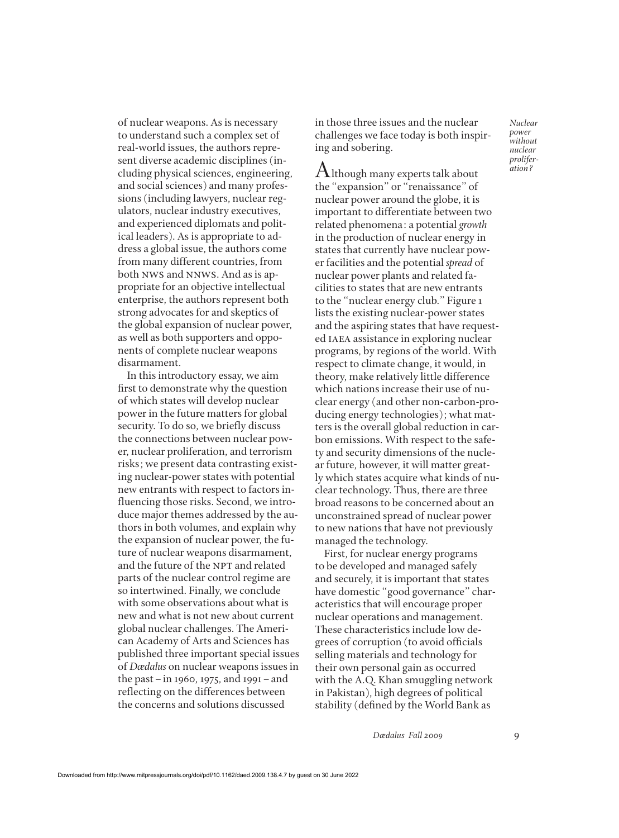of nuclear weapons. As is necessary to understand such a complex set of real-world issues, the authors represent diverse academic disciplines (including physical sciences, engineering, and social sciences) and many professions (including lawyers, nuclear regulators, nuclear industry executives, and experienced diplomats and political leaders). As is appropriate to address a global issue, the authors come from many different countries, from both nws and nnws. And as is appropriate for an objective intellectual enterprise, the authors represent both strong advocates for and skeptics of the global expansion of nuclear power, as well as both supporters and opponents of complete nuclear weapons disarmament.

In this introductory essay, we aim first to demonstrate why the question of which states will develop nuclear power in the future matters for global security. To do so, we briefly discuss the connections between nuclear power, nuclear proliferation, and terrorism risks; we present data contrasting existing nuclear-power states with potential new entrants with respect to factors influencing those risks. Second, we introduce major themes addressed by the authors in both volumes, and explain why the expansion of nuclear power, the future of nuclear weapons disarmament, and the future of the NPT and related parts of the nuclear control regime are so intertwined. Finally, we conclude with some observations about what is new and what is not new about current global nuclear challenges. The American Academy of Arts and Sciences has published three important special issues of *Dædalus* on nuclear weapons issues in the past–in 1960, 1975, and 1991–and reflecting on the differences between the concerns and solutions discussed

in those three issues and the nuclear challenges we face today is both inspiring and sobering.

 ${\rm A}$ lthough many experts talk about the "expansion" or "renaissance" of nuclear power around the globe, it is important to differentiate between two related phenomena: a potential *growth* in the production of nuclear energy in states that currently have nuclear power facilities and the potential *spread* of nuclear power plants and related facilities to states that are new entrants to the "nuclear energy club." Figure 1 lists the existing nuclear-power states and the aspiring states that have requested IAEA assistance in exploring nuclear programs, by regions of the world. With respect to climate change, it would, in theory, make relatively little difference which nations increase their use of nuclear energy (and other non-carbon-producing energy technologies); what matters is the overall global reduction in carbon emissions. With respect to the safety and security dimensions of the nuclear future, however, it will matter greatly which states acquire what kinds of nuclear technology. Thus, there are three broad reasons to be concerned about an unconstrained spread of nuclear power to new nations that have not previously managed the technology.

First, for nuclear energy programs to be developed and managed safely and securely, it is important that states have domestic "good governance" characteristics that will encourage proper nuclear operations and management. These characteristics include low degrees of corruption (to avoid officials selling materials and technology for their own personal gain as occurred with the A.Q. Khan smuggling network in Pakistan), high degrees of political stability (defined by the World Bank as

*Dædalus Fall 2009* 9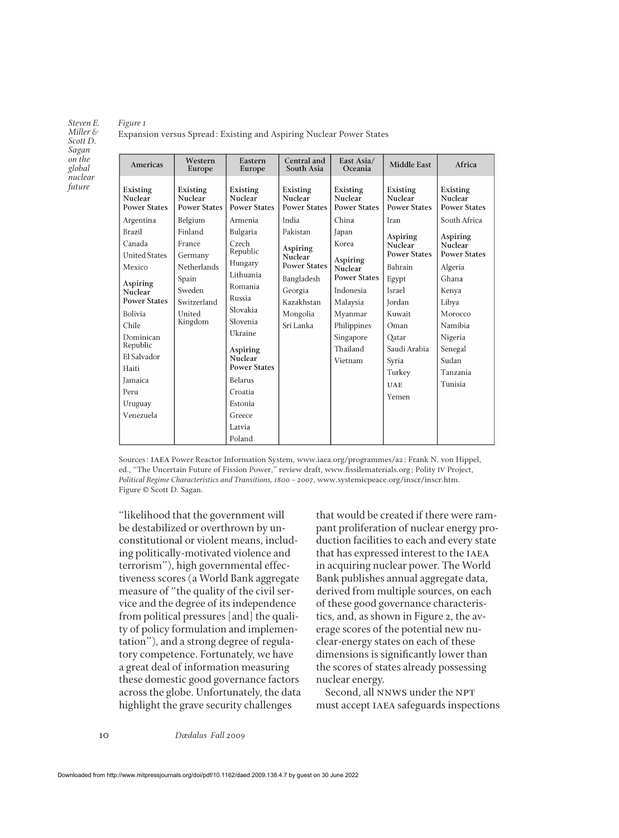#### *Figure 1*

Expansion versus Spread: Existing and Aspiring Nuclear Power States

| Americas                                                                                                                  | Western<br>Europe                                                  | Eastern<br>Europe                                                                                               | Central and<br>South Asia                                                           | East Asia/<br>Oceania                                                                                                 | <b>Middle East</b>                                                                                        | Africa                                                                                              |
|---------------------------------------------------------------------------------------------------------------------------|--------------------------------------------------------------------|-----------------------------------------------------------------------------------------------------------------|-------------------------------------------------------------------------------------|-----------------------------------------------------------------------------------------------------------------------|-----------------------------------------------------------------------------------------------------------|-----------------------------------------------------------------------------------------------------|
| Existing<br>Nuclear<br><b>Power States</b>                                                                                | Existing<br>Nuclear<br><b>Power States</b>                         | <b>Existing</b><br>Nuclear<br><b>Power States</b>                                                               | Existing<br>Nuclear<br><b>Power States</b>                                          | Existing<br>Nuclear<br><b>Power States</b>                                                                            | Existing<br>Nuclear<br><b>Power States</b>                                                                | Existing<br>Nuclear<br><b>Power States</b>                                                          |
| Argentina<br>Brazil<br>Canada<br><b>United States</b>                                                                     | Belgium<br>Finland<br>France<br>Germany                            | Armenia<br>Bulgaria<br>Czech<br>Republic<br>Hungary                                                             | India<br>Pakistan<br>Aspiring<br>Nuclear                                            | China<br>Japan<br>Korea<br>Aspiring                                                                                   | Iran<br>Aspiring<br>Nuclear<br><b>Power States</b>                                                        | South Africa<br>Aspiring<br>Nuclear<br><b>Power States</b>                                          |
| Mexico<br>Aspiring<br>Nuclear<br><b>Power States</b><br>Bolivia<br>Chile<br>Dominican<br>Republic<br>El Salvador<br>Haiti | Netherlands<br>Spain<br>Sweden<br>Switzerland<br>United<br>Kingdom | Lithuania<br>Romania<br>Russia<br>Slovakia<br>Slovenia<br>Ukraine<br>Aspiring<br>Nuclear<br><b>Power States</b> | <b>Power States</b><br>Bangladesh<br>Georgia<br>Kazakhstan<br>Mongolia<br>Sri Lanka | Nuclear<br><b>Power States</b><br>Indonesia<br>Malaysia<br>Myanmar<br>Philippines<br>Singapore<br>Thailand<br>Vietnam | Bahrain<br>Egypt<br>Israel<br><b>Jordan</b><br>Kuwait<br>Oman<br>Qatar<br>Saudi Arabia<br>Syria<br>Turkey | Algeria<br>Ghana<br>Kenya<br>Libya<br>Morocco<br>Namibia<br>Nigeria<br>Senegal<br>Sudan<br>Tanzania |
| Jamaica<br>Peru<br>Uruguay<br>Venezuela                                                                                   |                                                                    | Belarus<br>Croatia<br>Estonia<br>Greece<br>Latvia<br>Poland                                                     |                                                                                     |                                                                                                                       | <b>UAE</b><br>Yemen                                                                                       | Tunisia                                                                                             |

Sources: IAEA Power Reactor Information System, www.iaea.org/programmes/a2; Frank N. von Hippel, ed., "The Uncertain Future of Fission Power," review draft, www.½ssilematerials.org; Polity IV Project, *Political Regime Characteristics and Transitions, 1800–2007*, www.systemicpeace.org/inscr/inscr.htm. Figure © Scott D. Sagan.

"likelihood that the government will be destabilized or overthrown by unconstitutional or violent means, including politically-motivated violence and terrorism"), high governmental effectiveness scores (a World Bank aggregate measure of "the quality of the civil service and the degree of its independence from political pressures [and] the quality of policy formulation and implementation"), and a strong degree of regulatory competence. Fortunately, we have a great deal of information measuring these domestic good governance factors across the globe. Unfortunately, the data highlight the grave security challenges

that would be created if there were rampant proliferation of nuclear energy production facilities to each and every state that has expressed interest to the IAEA in acquiring nuclear power. The World Bank publishes annual aggregate data, derived from multiple sources, on each of these good governance characteristics, and, as shown in Figure 2, the average scores of the potential new nuclear-energy states on each of these dimensions is significantly lower than the scores of states already possessing nuclear energy.

Second, all NNWS under the NPT must accept IAEA safeguards inspections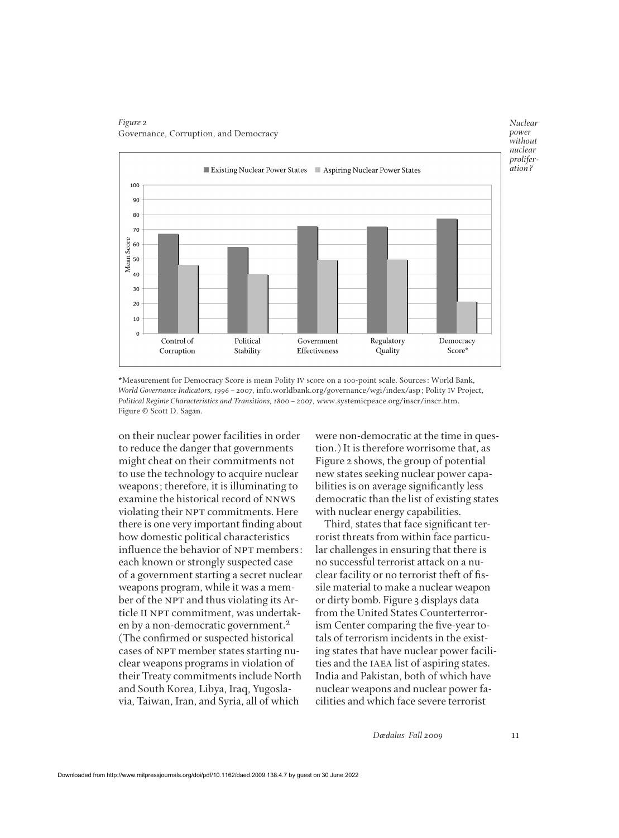

#### *Figure 2* Governance, Corruption, and Democracy

\*Measurement for Democracy Score is mean Polity IV score on a 100-point scale. Sources: World Bank, *World Governance Indicators, 1996–2007*, info.worldbank.org/governance/wgi/index/asp; Polity IV Project, *Political Regime Characteristics and Transitions, 1800–2007*, www.systemicpeace.org/inscr/inscr.htm. Figure © Scott D. Sagan.

on their nuclear power facilities in order to reduce the danger that governments might cheat on their commitments not to use the technology to acquire nuclear weapons; therefore, it is illuminating to examine the historical record of nnws violating their NPT commitments. Here there is one very important finding about how domestic political characteristics influence the behavior of NPT members: each known or strongly suspected case of a government starting a secret nuclear weapons program, while it was a member of the NPT and thus violating its Article II NPT commitment, was undertaken by a non-democratic government.<sup>2</sup> (The confirmed or suspected historical cases of NPT member states starting nuclear weapons programs in violation of their Treaty commitments include North and South Korea, Libya, Iraq, Yugoslavia, Taiwan, Iran, and Syria, all of which

were non-democratic at the time in question.) It is therefore worrisome that, as Figure 2 shows, the group of potential new states seeking nuclear power capabilities is on average significantly less democratic than the list of existing states with nuclear energy capabilities.

Third, states that face significant terrorist threats from within face particular challenges in ensuring that there is no successful terrorist attack on a nuclear facility or no terrorist theft of fissile material to make a nuclear weapon or dirty bomb. Figure 3 displays data from the United States Counterterrorism Center comparing the five-year totals of terrorism incidents in the existing states that have nuclear power facilities and the IAEA list of aspiring states. India and Pakistan, both of which have nuclear weapons and nuclear power facilities and which face severe terrorist

*Dædalus Fall 2009* 11

*Nuclear power without*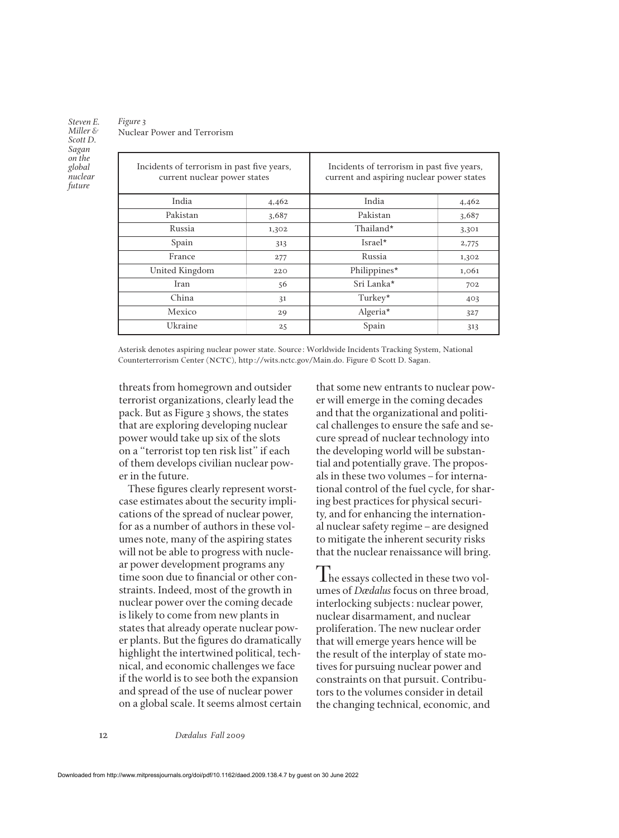### *Figure 3* Nuclear Power and Terrorism

| Incidents of terrorism in past five years,<br>current nuclear power states |       | Incidents of terrorism in past five years,<br>current and aspiring nuclear power states |       |  |
|----------------------------------------------------------------------------|-------|-----------------------------------------------------------------------------------------|-------|--|
| India                                                                      | 4,462 | India                                                                                   | 4,462 |  |
| Pakistan                                                                   | 3,687 | Pakistan                                                                                | 3,687 |  |
| Russia                                                                     | 1,302 | Thailand*                                                                               | 3,301 |  |
| Spain                                                                      | 313   | Israel*                                                                                 | 2,775 |  |
| France                                                                     | 277   | Russia                                                                                  | 1,302 |  |
| United Kingdom                                                             | 220   | Philippines*                                                                            | 1,061 |  |
| Iran                                                                       | 56    | Sri Lanka*                                                                              | 702   |  |
| China                                                                      | 31    | Turkey*                                                                                 | 403   |  |
| Mexico                                                                     | 29    | Algeria*                                                                                | 327   |  |
| Ukraine                                                                    | 25    | Spain                                                                                   | 313   |  |

Asterisk denotes aspiring nuclear power state. Source: Worldwide Incidents Tracking System, National Counterterrorism Center (NCTC), http://wits.nctc.gov/Main.do. Figure © Scott D. Sagan.

threats from homegrown and outsider terrorist organizations, clearly lead the pack. But as Figure 3 shows, the states that are exploring developing nuclear power would take up six of the slots on a "terrorist top ten risk list" if each of them develops civilian nuclear power in the future.

These figures clearly represent worstcase estimates about the security implications of the spread of nuclear power, for as a number of authors in these volumes note, many of the aspiring states will not be able to progress with nuclear power development programs any time soon due to financial or other constraints. Indeed, most of the growth in nuclear power over the coming decade is likely to come from new plants in states that already operate nuclear power plants. But the figures do dramatically highlight the intertwined political, technical, and economic challenges we face if the world is to see both the expansion and spread of the use of nuclear power on a global scale. It seems almost certain that some new entrants to nuclear power will emerge in the coming decades and that the organizational and political challenges to ensure the safe and secure spread of nuclear technology into the developing world will be substantial and potentially grave. The proposals in these two volumes–for international control of the fuel cycle, for sharing best practices for physical security, and for enhancing the international nuclear safety regime–are designed to mitigate the inherent security risks that the nuclear renaissance will bring.

The essays collected in these two volumes of *Dædalus* focus on three broad, interlocking subjects: nuclear power, nuclear disarmament, and nuclear proliferation. The new nuclear order that will emerge years hence will be the result of the interplay of state motives for pursuing nuclear power and constraints on that pursuit. Contributors to the volumes consider in detail the changing technical, economic, and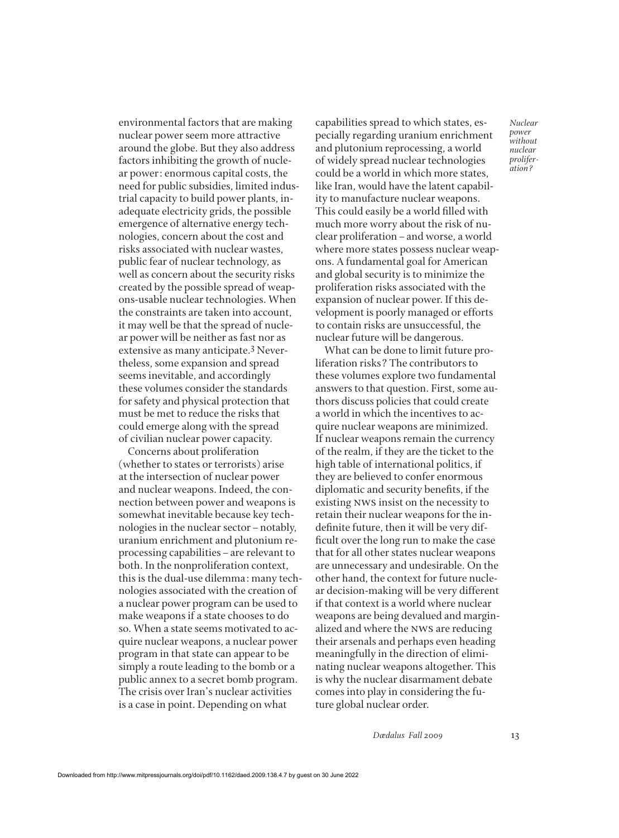environmental factors that are making nuclear power seem more attractive around the globe. But they also address factors inhibiting the growth of nuclear power: enormous capital costs, the need for public subsidies, limited industrial capacity to build power plants, inadequate electricity grids, the possible emergence of alternative energy technologies, concern about the cost and risks associated with nuclear wastes, public fear of nuclear technology, as well as concern about the security risks created by the possible spread of weapons-usable nuclear technologies. When the constraints are taken into account, it may well be that the spread of nuclear power will be neither as fast nor as extensive as many anticipate.3 Nevertheless, some expansion and spread seems inevitable, and accordingly these volumes consider the standards for safety and physical protection that must be met to reduce the risks that could emerge along with the spread of civilian nuclear power capacity.

Concerns about proliferation (whether to states or terrorists) arise at the intersection of nuclear power and nuclear weapons. Indeed, the connection between power and weapons is somewhat inevitable because key technologies in the nuclear sector–notably, uranium enrichment and plutonium reprocessing capabilities–are relevant to both. In the nonproliferation context, this is the dual-use dilemma: many technologies associated with the creation of a nuclear power program can be used to make weapons if a state chooses to do so. When a state seems motivated to acquire nuclear weapons, a nuclear power program in that state can appear to be simply a route leading to the bomb or a public annex to a secret bomb program. The crisis over Iran's nuclear activities is a case in point. Depending on what

capabilities spread to which states, especially regarding uranium enrichment and plutonium reprocessing, a world of widely spread nuclear technologies could be a world in which more states, like Iran, would have the latent capability to manufacture nuclear weapons. This could easily be a world filled with much more worry about the risk of nuclear proliferation–and worse, a world where more states possess nuclear weapons. A fundamental goal for American and global security is to minimize the proliferation risks associated with the expansion of nuclear power. If this development is poorly managed or efforts to contain risks are unsuccessful, the nuclear future will be dangerous.

What can be done to limit future proliferation risks? The contributors to these volumes explore two fundamental answers to that question. First, some authors discuss policies that could create a world in which the incentives to acquire nuclear weapons are minimized. If nuclear weapons remain the currency of the realm, if they are the ticket to the high table of international politics, if they are believed to confer enormous diplomatic and security benefits, if the existing nws insist on the necessity to retain their nuclear weapons for the indefinite future, then it will be very difficult over the long run to make the case that for all other states nuclear weapons are unnecessary and undesirable. On the other hand, the context for future nuclear decision-making will be very different if that context is a world where nuclear weapons are being devalued and marginalized and where the nws are reducing their arsenals and perhaps even heading meaningfully in the direction of eliminating nuclear weapons altogether. This is why the nuclear disarmament debate comes into play in considering the future global nuclear order.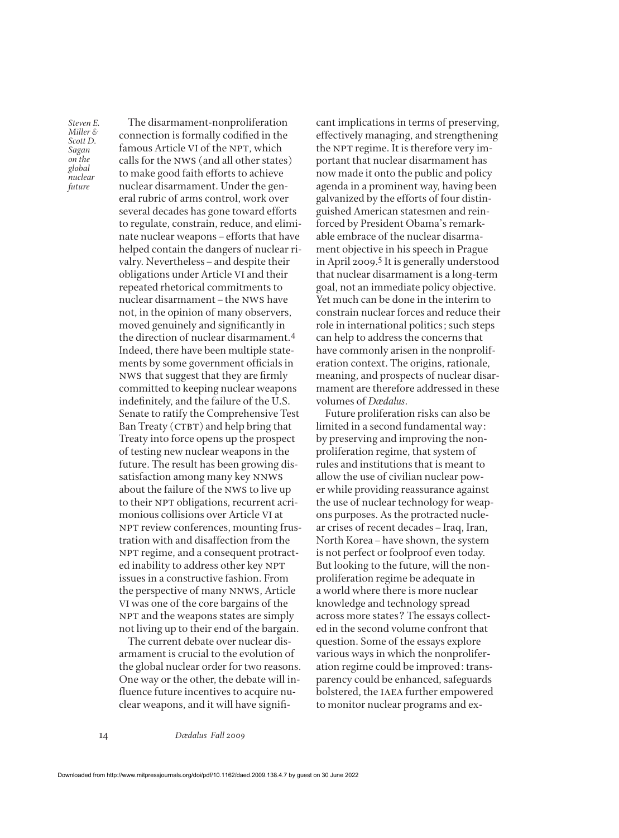The disarmament-nonproliferation connection is formally codified in the famous Article VI of the NPT, which calls for the nws (and all other states) to make good faith efforts to achieve nuclear disarmament. Under the general rubric of arms control, work over several decades has gone toward efforts to regulate, constrain, reduce, and eliminate nuclear weapons–efforts that have helped contain the dangers of nuclear rivalry. Nevertheless–and despite their obligations under Article VI and their repeated rhetorical commitments to nuclear disarmament–the nws have not, in the opinion of many observers, moved genuinely and significantly in the direction of nuclear disarmament.4 Indeed, there have been multiple statements by some government officials in NWS that suggest that they are firmly committed to keeping nuclear weapons indefinitely, and the failure of the U.S. Senate to ratify the Comprehensive Test  $Ban$  Treaty ( $CTBT$ ) and help bring that Treaty into force opens up the prospect of testing new nuclear weapons in the future. The result has been growing dissatisfaction among many key nnws about the failure of the nws to live up to their NPT obligations, recurrent acrimonious collisions over Article VI at NPT review conferences, mounting frustration with and disaffection from the NPT regime, and a consequent protracted inability to address other key NPT issues in a constructive fashion. From the perspective of many nnws, Article VI was one of the core bargains of the NPT and the weapons states are simply not living up to their end of the bargain.

The current debate over nuclear disarmament is crucial to the evolution of the global nuclear order for two reasons. One way or the other, the debate will influence future incentives to acquire nuclear weapons, and it will have significant implications in terms of preserving, effectively managing, and strengthening the NPT regime. It is therefore very important that nuclear disarmament has now made it onto the public and policy agenda in a prominent way, having been galvanized by the efforts of four distinguished American statesmen and reinforced by President Obama's remarkable embrace of the nuclear disarmament objective in his speech in Prague in April 2009.<sup>5</sup> It is generally understood that nuclear disarmament is a long-term goal, not an immediate policy objective. Yet much can be done in the interim to constrain nuclear forces and reduce their role in international politics; such steps can help to address the concerns that have commonly arisen in the nonproliferation context. The origins, rationale, meaning, and prospects of nuclear disarmament are therefore addressed in these volumes of *Dædalus*.

Future proliferation risks can also be limited in a second fundamental way: by preserving and improving the nonproliferation regime, that system of rules and institutions that is meant to allow the use of civilian nuclear power while providing reassurance against the use of nuclear technology for weapons purposes. As the protracted nuclear crises of recent decades–Iraq, Iran, North Korea–have shown, the system is not perfect or foolproof even today. But looking to the future, will the nonproliferation regime be adequate in a world where there is more nuclear knowledge and technology spread across more states? The essays collected in the second volume confront that question. Some of the essays explore various ways in which the nonproliferation regime could be improved: transparency could be enhanced, safeguards bolstered, the IAEA further empowered to monitor nuclear programs and ex-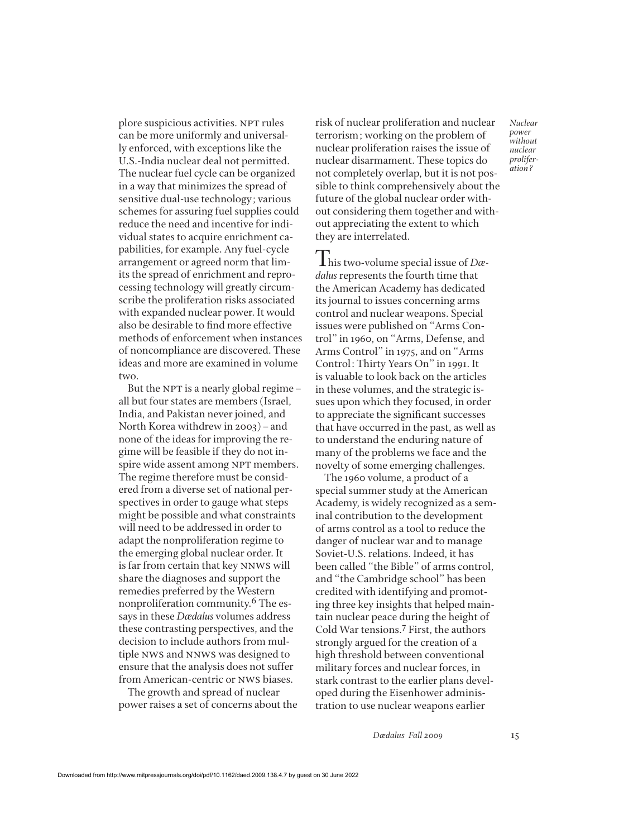plore suspicious activities. NPT rules can be more uniformly and universally enforced, with exceptions like the U.S.-India nuclear deal not permitted. The nuclear fuel cycle can be organized in a way that minimizes the spread of sensitive dual-use technology; various schemes for assuring fuel supplies could reduce the need and incentive for individual states to acquire enrichment capabilities, for example. Any fuel-cycle arrangement or agreed norm that limits the spread of enrichment and reprocessing technology will greatly circumscribe the proliferation risks associated with expanded nuclear power. It would also be desirable to find more effective methods of enforcement when instances of noncompliance are discovered. These ideas and more are examined in volume two.

But the NPT is a nearly global regime  $$ all but four states are members (Israel, India, and Pakistan never joined, and North Korea withdrew in 2003)–and none of the ideas for improving the regime will be feasible if they do not inspire wide assent among NPT members. The regime therefore must be considered from a diverse set of national perspectives in order to gauge what steps might be possible and what constraints will need to be addressed in order to adapt the nonproliferation regime to the emerging global nuclear order. It is far from certain that key nnws will share the diagnoses and support the remedies preferred by the Western nonproliferation community.6 The essays in these *Dædalus* volumes address these contrasting perspectives, and the decision to include authors from multiple nws and nnws was designed to ensure that the analysis does not suffer from American-centric or nws biases.

The growth and spread of nuclear power raises a set of concerns about the risk of nuclear proliferation and nuclear terrorism; working on the problem of nuclear proliferation raises the issue of nuclear disarmament. These topics do not completely overlap, but it is not possible to think comprehensively about the future of the global nuclear order without considering them together and without appreciating the extent to which they are interrelated.

This two-volume special issue of *Dædalus* represents the fourth time that the American Academy has dedicated its journal to issues concerning arms control and nuclear weapons. Special issues were published on "Arms Control" in 1960, on "Arms, Defense, and Arms Control" in 1975, and on "Arms Control: Thirty Years On" in 1991. It is valuable to look back on the articles in these volumes, and the strategic issues upon which they focused, in order to appreciate the significant successes that have occurred in the past, as well as to understand the enduring nature of many of the problems we face and the novelty of some emerging challenges.

The 1960 volume, a product of a special summer study at the American Academy, is widely recognized as a seminal contribution to the development of arms control as a tool to reduce the danger of nuclear war and to manage Soviet-U.S. relations. Indeed, it has been called "the Bible" of arms control, and "the Cambridge school" has been credited with identifying and promoting three key insights that helped maintain nuclear peace during the height of Cold War tensions.7 First, the authors strongly argued for the creation of a high threshold between conventional military forces and nuclear forces, in stark contrast to the earlier plans developed during the Eisenhower administration to use nuclear weapons earlier

*Dædalus Fall 2009* 15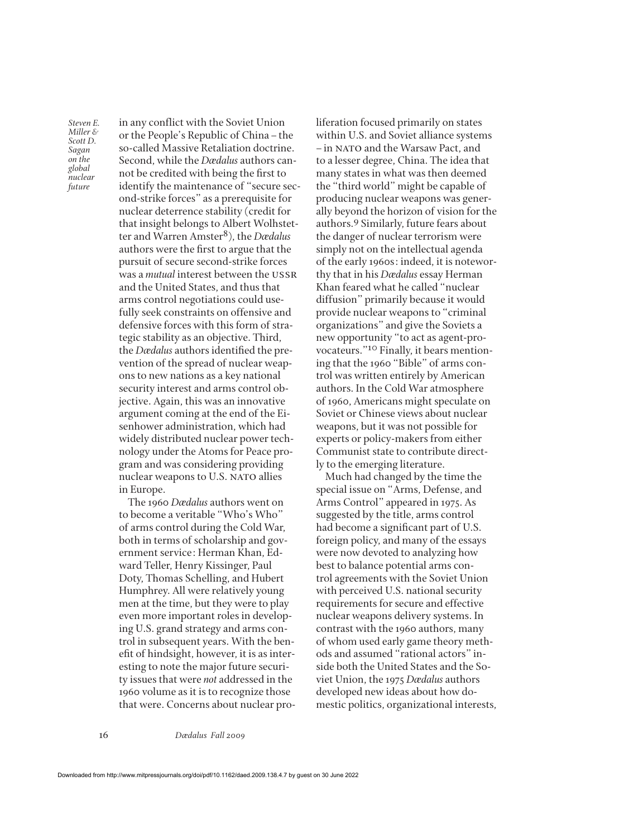in any conflict with the Soviet Union or the People's Republic of China–the so-called Massive Retaliation doctrine. Second, while the *Dædalus* authors cannot be credited with being the first to identify the maintenance of "secure second-strike forces" as a prerequisite for nuclear deterrence stability (credit for that insight belongs to Albert Wolhstetter and Warren Amster8), the *Dædalus* authors were the first to argue that the pursuit of secure second-strike forces was a *mutual* interest between the ussr and the United States, and thus that arms control negotiations could usefully seek constraints on offensive and defensive forces with this form of strategic stability as an objective. Third, the *Dædalus* authors identified the prevention of the spread of nuclear weapons to new nations as a key national security interest and arms control objective. Again, this was an innovative argument coming at the end of the Eisenhower administration, which had widely distributed nuclear power technology under the Atoms for Peace program and was considering providing nuclear weapons to U.S. NATO allies in Europe.

The 1960 *Dædalus* authors went on to become a veritable "Who's Who" of arms control during the Cold War, both in terms of scholarship and government service: Herman Khan, Edward Teller, Henry Kissinger, Paul Doty, Thomas Schelling, and Hubert Humphrey. All were relatively young men at the time, but they were to play even more important roles in developing U.S. grand strategy and arms control in subsequent years. With the benefit of hindsight, however, it is as interesting to note the major future security issues that were *not* addressed in the 1960 volume as it is to recognize those that were. Concerns about nuclear proliferation focused primarily on states within U.S. and Soviet alliance systems –in nato and the Warsaw Pact, and to a lesser degree, China. The idea that many states in what was then deemed the "third world" might be capable of producing nuclear weapons was generally beyond the horizon of vision for the authors.9 Similarly, future fears about the danger of nuclear terrorism were simply not on the intellectual agenda of the early 1960s: indeed, it is noteworthy that in his *Dædalus* essay Herman Khan feared what he called "nuclear diffusion" primarily because it would provide nuclear weapons to "criminal organizations" and give the Soviets a new opportunity "to act as agent-provocateurs."10 Finally, it bears mentioning that the 1960 "Bible" of arms control was written entirely by American authors. In the Cold War atmosphere of 1960, Americans might speculate on Soviet or Chinese views about nuclear weapons, but it was not possible for experts or policy-makers from either Communist state to contribute directly to the emerging literature.

Much had changed by the time the special issue on "Arms, Defense, and Arms Control" appeared in 1975. As suggested by the title, arms control had become a significant part of U.S. foreign policy, and many of the essays were now devoted to analyzing how best to balance potential arms control agreements with the Soviet Union with perceived U.S. national security requirements for secure and effective nuclear weapons delivery systems. In contrast with the 1960 authors, many of whom used early game theory methods and assumed "rational actors" inside both the United States and the Soviet Union, the 1975 *Dædalus* authors developed new ideas about how domestic politics, organizational interests,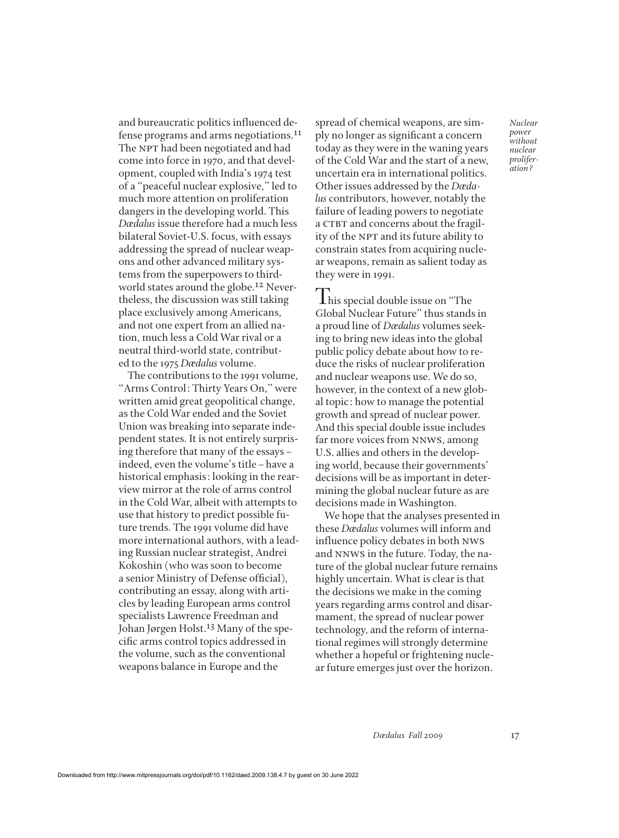and bureaucratic politics influenced defense programs and arms negotiations.11 The NPT had been negotiated and had come into force in 1970, and that development, coupled with India's 1974 test of a "peaceful nuclear explosive," led to much more attention on proliferation dangers in the developing world. This *Dædalus* issue therefore had a much less bilateral Soviet-U.S. focus, with essays addressing the spread of nuclear weapons and other advanced military systems from the superpowers to thirdworld states around the globe.<sup>12</sup> Nevertheless, the discussion was still taking place exclusively among Americans, and not one expert from an allied nation, much less a Cold War rival or a neutral third-world state, contributed to the 1975 *Dædalus* volume.

The contributions to the 1991 volume, "Arms Control: Thirty Years On," were written amid great geopolitical change, as the Cold War ended and the Soviet Union was breaking into separate independent states. It is not entirely surprising therefore that many of the essays– indeed, even the volume's title–have a historical emphasis: looking in the rearview mirror at the role of arms control in the Cold War, albeit with attempts to use that history to predict possible future trends. The 1991 volume did have more international authors, with a leading Russian nuclear strategist, Andrei Kokoshin (who was soon to become a senior Ministry of Defense official), contributing an essay, along with articles by leading European arms control specialists Lawrence Freedman and Johan Jørgen Holst.13 Many of the specific arms control topics addressed in the volume, such as the conventional weapons balance in Europe and the

spread of chemical weapons, are simply no longer as significant a concern today as they were in the waning years of the Cold War and the start of a new, uncertain era in international politics. Other issues addressed by the *Dædalus* contributors, however, notably the failure of leading powers to negotiate a CTBT and concerns about the fragility of the NPT and its future ability to constrain states from acquiring nuclear weapons, remain as salient today as they were in 1991.

**This special double issue on "The** Global Nuclear Future" thus stands in a proud line of *Dædalus* volumes seeking to bring new ideas into the global public policy debate about how to reduce the risks of nuclear proliferation and nuclear weapons use. We do so, however, in the context of a new global topic: how to manage the potential growth and spread of nuclear power. And this special double issue includes far more voices from NNWS, among U.S. allies and others in the developing world, because their governments' decisions will be as important in determining the global nuclear future as are decisions made in Washington.

We hope that the analyses presented in these *Dædalus* volumes will inform and influence policy debates in both nws and NNWS in the future. Today, the nature of the global nuclear future remains highly uncertain. What is clear is that the decisions we make in the coming years regarding arms control and disarmament, the spread of nuclear power technology, and the reform of international regimes will strongly determine whether a hopeful or frightening nuclear future emerges just over the horizon.